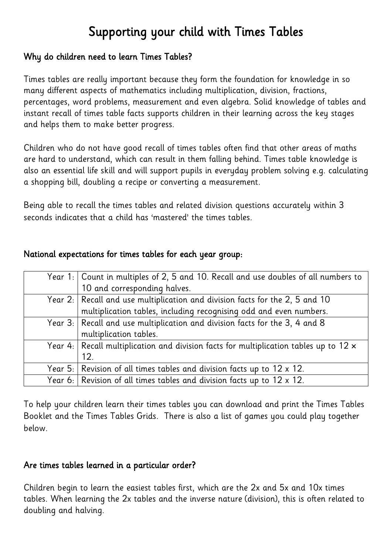# Supporting your child with Times Tables

## Why do children need to learn Times Tables?

Times tables are really important because they form the foundation for knowledge in so many different aspects of mathematics including multiplication, division, fractions, percentages, word problems, measurement and even algebra. Solid knowledge of tables and instant recall of times table facts supports children in their learning across the key stages and helps them to make better progress.

Children who do not have good recall of times tables often find that other areas of maths are hard to understand, which can result in them falling behind. Times table knowledge is also an essential life skill and will support pupils in everyday problem solving e.g. calculating a shopping bill, doubling a recipe or converting a measurement.

Being able to recall the times tables and related division questions accurately within 3 seconds indicates that a child has 'mastered' the times tables.

| Year 1:   Count in multiples of 2, 5 and 10. Recall and use doubles of all numbers to        |
|----------------------------------------------------------------------------------------------|
| 10 and corresponding halves.                                                                 |
| Year 2: Recall and use multiplication and division facts for the 2, 5 and 10                 |
| multiplication tables, including recognising odd and even numbers.                           |
| Year 3: Recall and use multiplication and division facts for the 3, 4 and 8                  |
| multiplication tables.                                                                       |
| Year 4: Recall multiplication and division facts for multiplication tables up to $12 \times$ |
| 12.                                                                                          |
| Year 5: Revision of all times tables and division facts up to $12 \times 12$ .               |
| Year 6: Revision of all times tables and division facts up to 12 $\times$ 12.                |

## National expectations for times tables for each year group:

To help your children learn their times tables you can download and print the Times Tables Booklet and the Times Tables Grids. There is also a list of games you could play together below.

## Are times tables learned in a particular order?

Children begin to learn the easiest tables first, which are the 2x and 5x and 10x times tables. When learning the 2x tables and the inverse nature (division), this is often related to doubling and halving.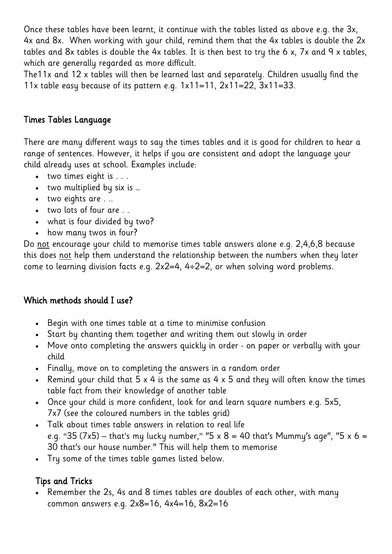Once these tables have been learnt, it continue with the tables listed as above e.g. the 3x, 4x and 8x. When working with your child, remind them that the 4x tables is double the 2x tables and 8x tables is double the 4x tables. It is then best to try the 6 x, 7x and 9 x tables, which are generally regarded as more difficult.

The11x and 12 x tables will then be learned last and separately. Children usually find the 11x table easy because of its pattern e.g.  $1x11=11$ ,  $2x11=22$ ,  $3x11=33$ .

## Times Tables Language

There are many different ways to say the times tables and it is good for children to hear a range of sentences. However, it helps if you are consistent and adopt the language your child already uses at school. Examples include:

- two times eight is . . .
- two multiplied by six is …
- two eights are ...
- two lots of four are . .
- what is four divided by two?
- how many twos in four?

Do not encourage your child to memorise times table answers alone e.g. 2,4,6,8 because this does not help them understand the relationship between the numbers when they later come to learning division facts e.g.  $2x2=4$ ,  $4\div 2=2$ , or when solving word problems.

## Which methods should I use?

- Begin with one times table at a time to minimise confusion
- Start by chanting them together and writing them out slowly in order
- Move onto completing the answers quickly in order on paper or verbally with your child
- Finally, move on to completing the answers in a random order
- Remind your child that  $5 \times 4$  is the same as  $4 \times 5$  and they will often know the times table fact from their knowledge of another table
- Once your child is more confident, look for and learn square numbers e.g. 5x5, 7x7 (see the coloured numbers in the tables grid)
- Talk about times table answers in relation to real life e.g. "35 (7x5) – that's my lucky number," "5 x 8 = 40 that's Mummy's age", "5 x 6 = 30 that's our house number." This will help them to memorise
- Try some of the times table games listed below.

## Tips and Tricks

 Remember the 2s, 4s and 8 times tables are doubles of each other, with many common answers e.g. 2x8=16, 4x4=16, 8x2=16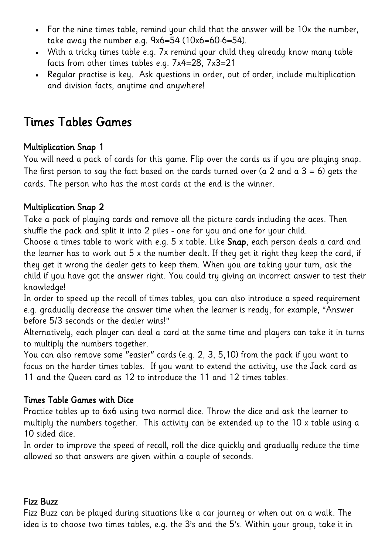- For the nine times table, remind your child that the answer will be 10x the number, take away the number e.g. 9x6=54 (10x6=60-6=54).
- With a tricky times table e.g. 7x remind your child they already know many table facts from other times tables e.g. 7x4=28, 7x3=21
- Regular practise is key. Ask questions in order, out of order, include multiplication and division facts, anytime and anywhere!

## Times Tables Games

## Multiplication Snap 1

You will need a pack of cards for this game. Flip over the cards as if you are playing snap. The first person to say the fact based on the cards turned over (a 2 and a  $3 = 6$ ) gets the cards. The person who has the most cards at the end is the winner.

## Multiplication Snap 2

Take a pack of playing cards and remove all the picture cards including the aces. Then shuffle the pack and split it into 2 piles - one for you and one for your child.

Choose a times table to work with e.g. 5 x table. Like Snap, each person deals a card and the learner has to work out 5 x the number dealt. If they get it right they keep the card, if they get it wrong the dealer gets to keep them. When you are taking your turn, ask the child if you have got the answer right. You could try giving an incorrect answer to test their knowledge!

In order to speed up the recall of times tables, you can also introduce a speed requirement e.g. gradually decrease the answer time when the learner is ready, for example, "Answer before 5/3 seconds or the dealer wins!"

Alternatively, each player can deal a card at the same time and players can take it in turns to multiply the numbers together.

You can also remove some "easier" cards (e.g. 2, 3, 5,10) from the pack if you want to focus on the harder times tables. If you want to extend the activity, use the Jack card as 11 and the Queen card as 12 to introduce the 11 and 12 times tables.

## Times Table Games with Dice

Practice tables up to 6x6 using two normal dice. Throw the dice and ask the learner to multiply the numbers together. This activity can be extended up to the 10 x table using a 10 sided dice.

In order to improve the speed of recall, roll the dice quickly and gradually reduce the time allowed so that answers are given within a couple of seconds.

## Fizz Buzz

Fizz Buzz can be played during situations like a car journey or when out on a walk. The idea is to choose two times tables, e.g. the 3's and the 5's. Within your group, take it in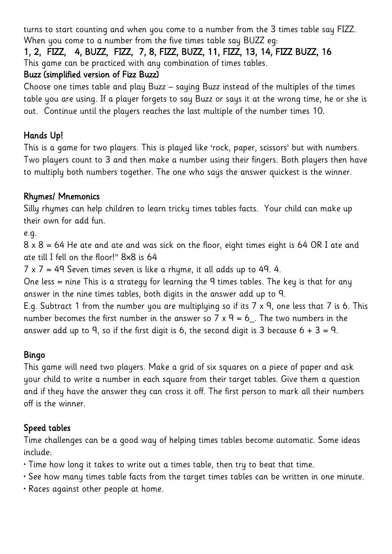turns to start counting and when you come to a number from the 3 times table say FIZZ. When you come to a number from the five times table say BUZZ eg:

## 1, 2, FIZZ, 4, BUZZ, FIZZ, 7, 8, FIZZ, BUZZ, 11, FIZZ, 13, 14, FIZZ BUZZ, 16 This game can be practiced with any combination of times tables.

## Buzz (simplified version of Fizz Buzz)

Choose one times table and play Buzz – saying Buzz instead of the multiples of the times table you are using. If a player forgets to say Buzz or says it at the wrong time, he or she is out. Continue until the players reaches the last multiple of the number times 10.

## Hands Up!

This is a game for two players. This is played like 'rock, paper, scissors' but with numbers. Two players count to 3 and then make a number using their fingers. Both players then have to multiply both numbers together. The one who says the answer quickest is the winner.

## Rhymes/ Mnemonics

Silly rhymes can help children to learn tricky times tables facts. Your child can make up their own for add fun.

e.g.

8 x 8 = 64 He ate and ate and was sick on the floor, eight times eight is 64 OR I ate and ate till I fell on the floor!" 8×8 is 64

 $7 \times 7 = 49$  Seven times seven is like a rhyme, it all adds up to 49. 4.

One less = nine This is a strategy for learning the 9 times tables. The key is that for any answer in the nine times tables, both digits in the answer add up to 9.

E.g. Subtract 1 from the number you are multiplying so if its 7 x 9, one less that 7 is 6. This number becomes the first number in the answer so 7 x 9 = 6... The two numbers in the answer add up to 9, so if the first digit is 6, the second digit is 3 because  $6 + 3 = 9$ .

## Bingo

This game will need two players. Make a grid of six squares on a piece of paper and ask your child to write a number in each square from their target tables. Give them a question and if they have the answer they can cross it off. The first person to mark all their numbers off is the winner.

## Speed tables

Time challenges can be a good way of helping times tables become automatic. Some ideas include:

- Time how long it takes to write out a times table, then try to beat that time.
- See how many times table facts from the target times tables can be written in one minute.
- Races against other people at home.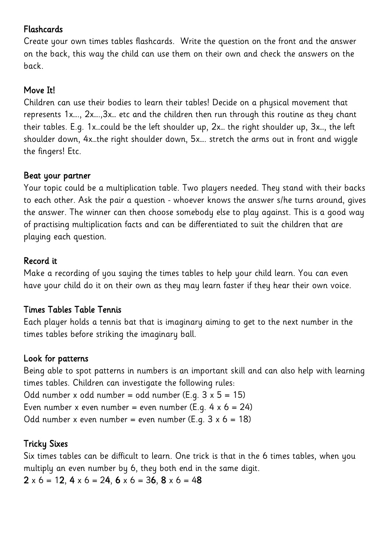## Flashcards

Create your own times tables flashcards. Write the question on the front and the answer on the back, this way the child can use them on their own and check the answers on the back.

## Move It!

Children can use their bodies to learn their tables! Decide on a physical movement that represents 1x…., 2x….,3x… etc and the children then run through this routine as they chant their tables. E.g. 1x…could be the left shoulder up, 2x… the right shoulder up, 3x…, the left shoulder down, 4x…the right shoulder down, 5x…. stretch the arms out in front and wiggle the fingers! Etc.

#### Beat your partner

Your topic could be a multiplication table. Two players needed. They stand with their backs to each other. Ask the pair a question - whoever knows the answer s/he turns around, gives the answer. The winner can then choose somebody else to play against. This is a good way of practising multiplication facts and can be differentiated to suit the children that are playing each question.

## Record it

Make a recording of you saying the times tables to help your child learn. You can even have your child do it on their own as they may learn faster if they hear their own voice.

## Times Tables Table Tennis

Each player holds a tennis bat that is imaginary aiming to get to the next number in the times tables before striking the imaginary ball.

#### Look for patterns

Being able to spot patterns in numbers is an important skill and can also help with learning times tables. Children can investigate the following rules: Odd number x odd number = odd number (E.q.  $3 \times 5 = 15$ ) Even number x even number = even number (E.g.  $4 \times 6 = 24$ ) Odd number x even number = even number (E.g.  $3 \times 6 = 18$ )

## Tricky Sixes

Six times tables can be difficult to learn. One trick is that in the 6 times tables, when you multiply an even number by 6, they both end in the same digit.

 $2 \times 6 = 12$ ,  $4 \times 6 = 24$ ,  $6 \times 6 = 36$ ,  $8 \times 6 = 48$